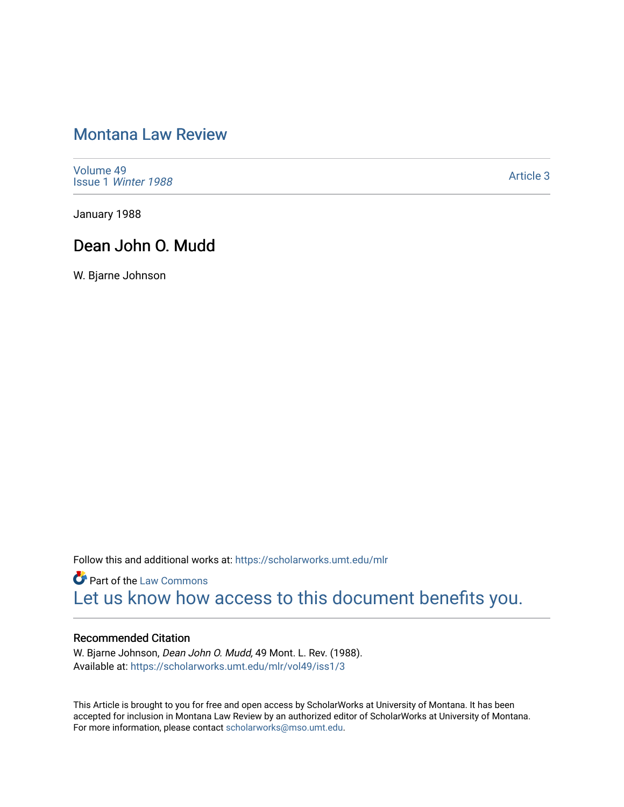# [Montana Law Review](https://scholarworks.umt.edu/mlr)

[Volume 49](https://scholarworks.umt.edu/mlr/vol49) Issue 1 [Winter 1988](https://scholarworks.umt.edu/mlr/vol49/iss1) 

[Article 3](https://scholarworks.umt.edu/mlr/vol49/iss1/3) 

January 1988

## Dean John O. Mudd

W. Bjarne Johnson

Follow this and additional works at: [https://scholarworks.umt.edu/mlr](https://scholarworks.umt.edu/mlr?utm_source=scholarworks.umt.edu%2Fmlr%2Fvol49%2Fiss1%2F3&utm_medium=PDF&utm_campaign=PDFCoverPages) 

**Part of the [Law Commons](http://network.bepress.com/hgg/discipline/578?utm_source=scholarworks.umt.edu%2Fmlr%2Fvol49%2Fiss1%2F3&utm_medium=PDF&utm_campaign=PDFCoverPages)** [Let us know how access to this document benefits you.](https://goo.gl/forms/s2rGfXOLzz71qgsB2) 

#### Recommended Citation

W. Bjarne Johnson, Dean John O. Mudd, 49 Mont. L. Rev. (1988). Available at: [https://scholarworks.umt.edu/mlr/vol49/iss1/3](https://scholarworks.umt.edu/mlr/vol49/iss1/3?utm_source=scholarworks.umt.edu%2Fmlr%2Fvol49%2Fiss1%2F3&utm_medium=PDF&utm_campaign=PDFCoverPages) 

This Article is brought to you for free and open access by ScholarWorks at University of Montana. It has been accepted for inclusion in Montana Law Review by an authorized editor of ScholarWorks at University of Montana. For more information, please contact [scholarworks@mso.umt.edu.](mailto:scholarworks@mso.umt.edu)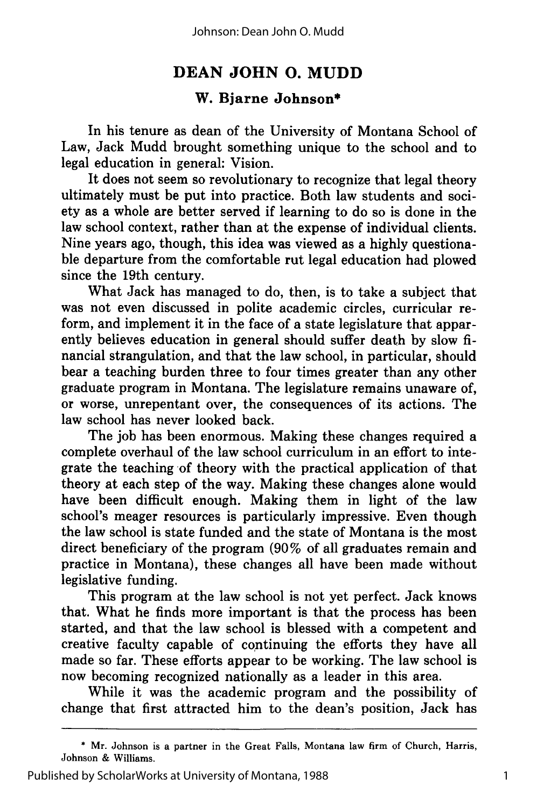### **DEAN JOHN 0. MUDD**

### **W. Bjarne Johnson\***

In his tenure as dean of the University of Montana School of Law, Jack Mudd brought something unique to the school and to legal education in general: Vision.

It does not seem so revolutionary to recognize that legal theory ultimately must be put into practice. Both law students and society as a whole are better served if learning to do so is done in the law school context, rather than at the expense of individual clients. Nine years ago, though, this idea was viewed as a highly questionable departure from the comfortable rut legal education had plowed since the 19th century.

What Jack has managed to do, then, is to take a subject that was not even discussed in polite academic circles, curricular reform, and implement it in the face of a state legislature that apparently believes education in general should suffer death by slow financial strangulation, and that the law school, in particular, should bear a teaching burden three to four times greater than any other graduate program in Montana. The legislature remains unaware of, or worse, unrepentant over, the consequences of its actions. The law school has never looked back.

The job has been enormous. Making these changes required a complete overhaul of the law school curriculum in an effort to integrate the teaching of theory with the practical application of that theory at each step of the way. Making these changes alone would have been difficult enough. Making them in light of the law school's meager resources is particularly impressive. Even though the law school is state funded and the state of Montana is the most direct beneficiary of the program (90% of all graduates remain and practice in Montana), these changes all have been made without legislative funding.

This program at the law school is not yet perfect. Jack knows that. What he finds more important is that the process has been started, and that the law school is blessed with a competent and creative faculty capable of continuing the efforts they have all made so far. These efforts appear to be working. The law school is now becoming recognized nationally as a leader in this area.

While it was the academic program and the possibility of change that first attracted him to the dean's position, Jack has

<sup>\*</sup> Mr. Johnson is a partner in the Great Falls, Montana law firm of Church, Harris, Johnson & Williams.